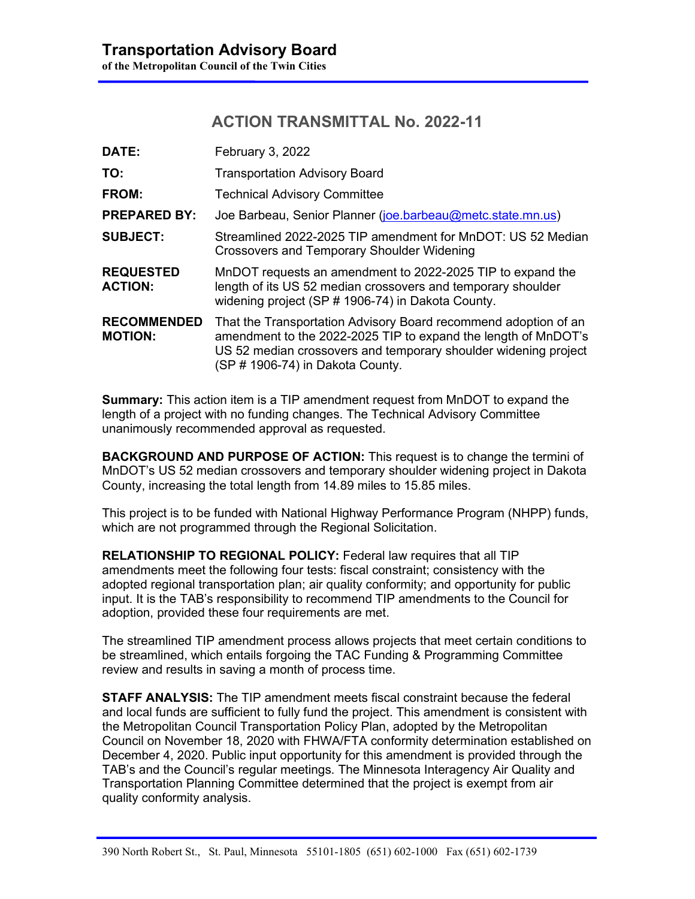# **ACTION TRANSMITTAL No. 2022-11**

| DATE:                                | February 3, 2022                                                                                                                                                                                                                         |  |  |  |  |  |  |
|--------------------------------------|------------------------------------------------------------------------------------------------------------------------------------------------------------------------------------------------------------------------------------------|--|--|--|--|--|--|
| TO:                                  | <b>Transportation Advisory Board</b>                                                                                                                                                                                                     |  |  |  |  |  |  |
| <b>FROM:</b>                         | <b>Technical Advisory Committee</b>                                                                                                                                                                                                      |  |  |  |  |  |  |
| <b>PREPARED BY:</b>                  | Joe Barbeau, Senior Planner (joe.barbeau@metc.state.mn.us)                                                                                                                                                                               |  |  |  |  |  |  |
| <b>SUBJECT:</b>                      | Streamlined 2022-2025 TIP amendment for MnDOT: US 52 Median<br><b>Crossovers and Temporary Shoulder Widening</b>                                                                                                                         |  |  |  |  |  |  |
| <b>REQUESTED</b><br><b>ACTION:</b>   | MnDOT requests an amendment to 2022-2025 TIP to expand the<br>length of its US 52 median crossovers and temporary shoulder<br>widening project (SP # 1906-74) in Dakota County.                                                          |  |  |  |  |  |  |
| <b>RECOMMENDED</b><br><b>MOTION:</b> | That the Transportation Advisory Board recommend adoption of an<br>amendment to the 2022-2025 TIP to expand the length of MnDOT's<br>US 52 median crossovers and temporary shoulder widening project<br>(SP # 1906-74) in Dakota County. |  |  |  |  |  |  |

**Summary:** This action item is a TIP amendment request from MnDOT to expand the length of a project with no funding changes. The Technical Advisory Committee unanimously recommended approval as requested.

**BACKGROUND AND PURPOSE OF ACTION:** This request is to change the termini of MnDOT's US 52 median crossovers and temporary shoulder widening project in Dakota County, increasing the total length from 14.89 miles to 15.85 miles.

This project is to be funded with National Highway Performance Program (NHPP) funds, which are not programmed through the Regional Solicitation.

**RELATIONSHIP TO REGIONAL POLICY:** Federal law requires that all TIP amendments meet the following four tests: fiscal constraint; consistency with the adopted regional transportation plan; air quality conformity; and opportunity for public input. It is the TAB's responsibility to recommend TIP amendments to the Council for adoption, provided these four requirements are met.

The streamlined TIP amendment process allows projects that meet certain conditions to be streamlined, which entails forgoing the TAC Funding & Programming Committee review and results in saving a month of process time.

**STAFF ANALYSIS:** The TIP amendment meets fiscal constraint because the federal and local funds are sufficient to fully fund the project. This amendment is consistent with the Metropolitan Council Transportation Policy Plan, adopted by the Metropolitan Council on November 18, 2020 with FHWA/FTA conformity determination established on December 4, 2020. Public input opportunity for this amendment is provided through the TAB's and the Council's regular meetings. The Minnesota Interagency Air Quality and Transportation Planning Committee determined that the project is exempt from air quality conformity analysis.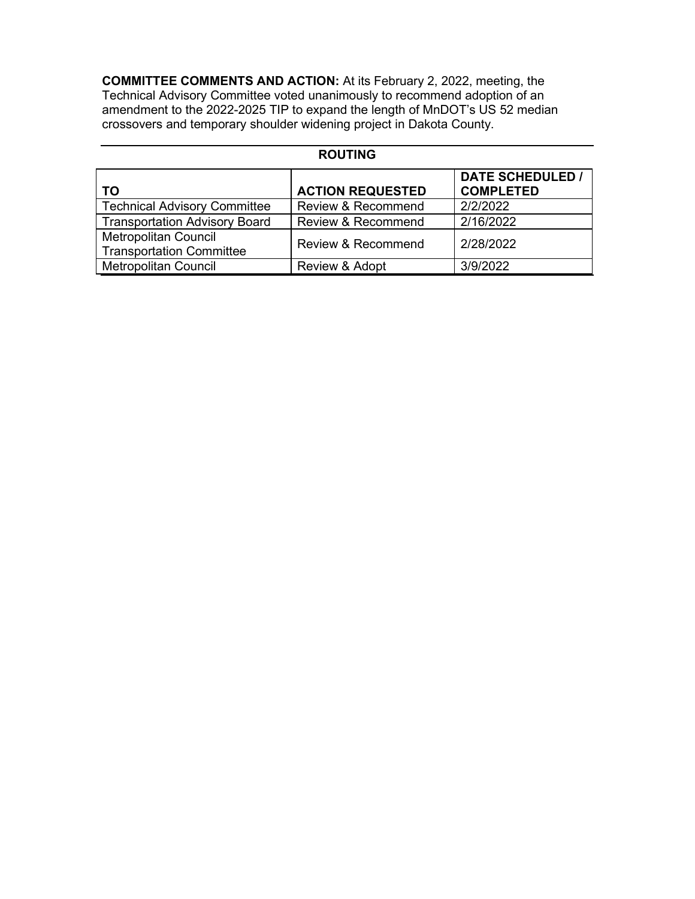**COMMITTEE COMMENTS AND ACTION:** At its February 2, 2022, meeting, the Technical Advisory Committee voted unanimously to recommend adoption of an amendment to the 2022-2025 TIP to expand the length of MnDOT's US 52 median crossovers and temporary shoulder widening project in Dakota County.

# **ROUTING TO ACTION REQUESTED**<br> **Technical Advisory Committee** Review & Recommend **DATE SCHEDULED / COMPLETED**<br>2/2/2022 Technical Advisory Committee Review & Recommend 2/2/2022<br>Transportation Advisory Board Review & Recommend 2/16/2022 Transportation Advisory Board Metropolitan Council Transportation Council et Review & Recommend 2/28/2022 Metropolitan Council **Review & Adopt** 3/9/2022